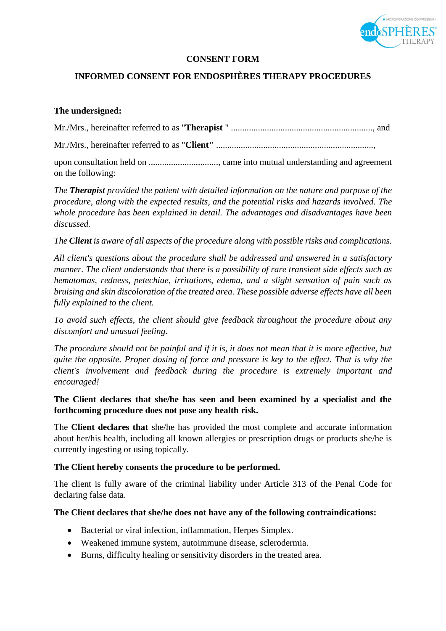

# **CONSENT FORM**

# **INFORMED CONSENT FOR ENDOSPHÈRES THERAPY PROCEDURES**

#### **The undersigned:**

Mr./Mrs., hereinafter referred to as "**Therapist** " ..............................................................., and

Mr./Mrs., hereinafter referred to as "**Client"** ......................................................................,

upon consultation held on ..............................., came into mutual understanding and agreement on the following:

*The Therapist provided the patient with detailed information on the nature and purpose of the procedure, along with the expected results, and the potential risks and hazards involved. The whole procedure has been explained in detail. The advantages and disadvantages have been discussed.*

*The Client is aware of all aspects of the procedure along with possible risks and complications.* 

*All client's questions about the procedure shall be addressed and answered in a satisfactory manner. The client understands that there is a possibility of rare transient side effects such as hematomas, redness, petechiae, irritations, edema, and a slight sensation of pain such as bruising and skin discoloration of the treated area. These possible adverse effects have all been fully explained to the client.*

*To avoid such effects, the client should give feedback throughout the procedure about any discomfort and unusual feeling.*

*The procedure should not be painful and if it is, it does not mean that it is more effective, but quite the opposite. Proper dosing of force and pressure is key to the effect. That is why the client's involvement and feedback during the procedure is extremely important and encouraged!*

**The Client declares that she/he has seen and been examined by a specialist and the forthcoming procedure does not pose any health risk.**

The **Client declares that** she/he has provided the most complete and accurate information about her/his health, including all known allergies or prescription drugs or products she/he is currently ingesting or using topically.

### **The Client hereby consents the procedure to be performed.**

The client is fully aware of the criminal liability under Article 313 of the Penal Code for declaring false data.

### **The Client declares that she/he does not have any of the following contraindications:**

- Bacterial or viral infection, inflammation, Herpes Simplex.
- Weakened immune system, autoimmune disease, sclerodermia.
- Burns, difficulty healing or sensitivity disorders in the treated area.